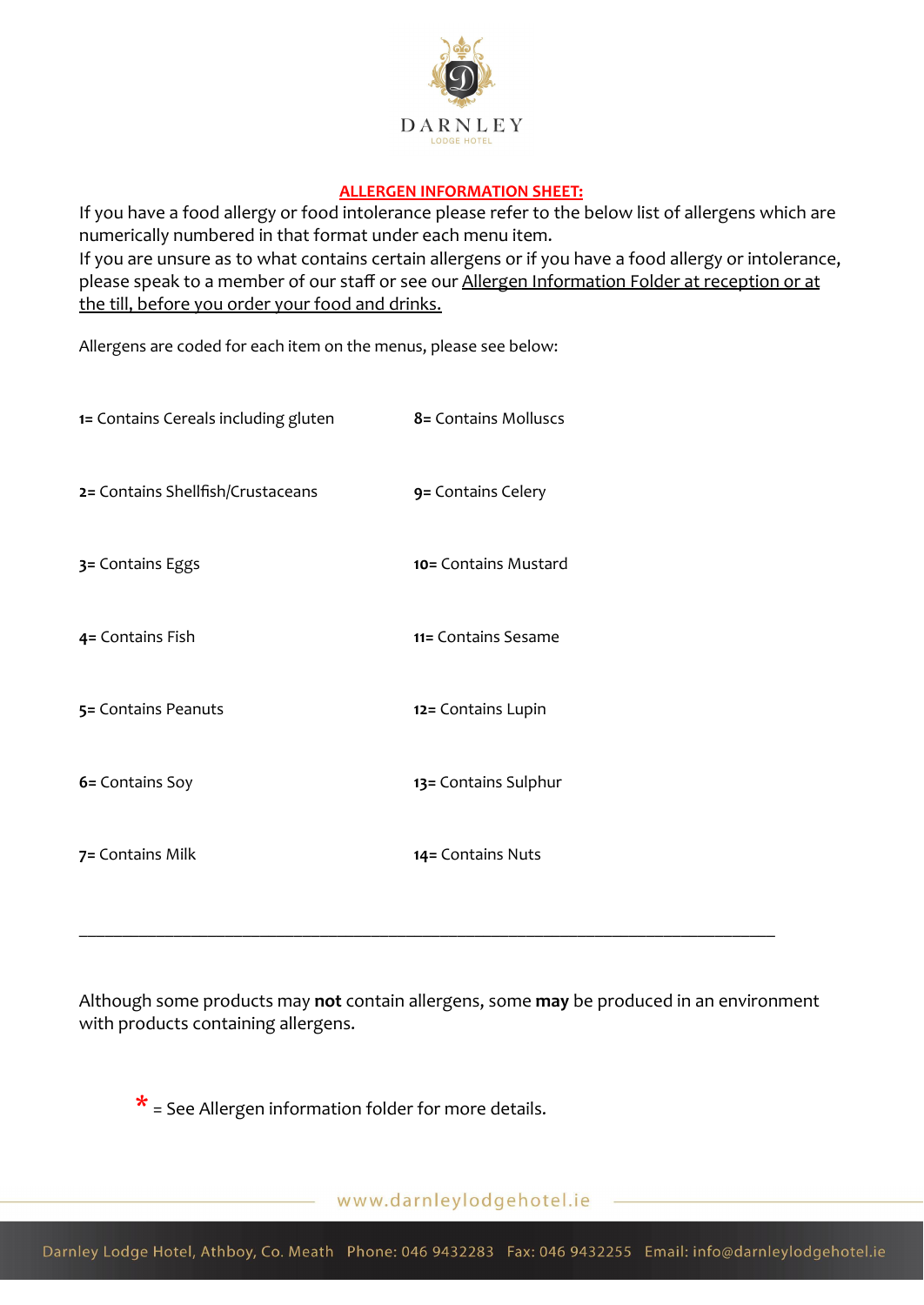

## **ALLERGEN INFORMATION SHEET:**

If you have a food allergy or food intolerance please refer to the below list of allergens which are numerically numbered in that format under each menu item. If you are unsure as to what contains certain allergens or if you have a food allergy or intolerance, please speak to a member of our staff or see our Allergen Information Folder at reception or at the till, before you order your food and drinks.

Allergens are coded for each item on the menus, please see below:

| 1= Contains Cereals including gluten | 8 = Contains Molluscs   |
|--------------------------------------|-------------------------|
| 2= Contains Shellfish/Crustaceans    | 9 = Contains Celery     |
| 3= Contains Eggs                     | $10 =$ Contains Mustard |
| 4= Contains Fish                     | 11= Contains Sesame     |
| 5= Contains Peanuts                  | 12 = Contains Lupin     |
| 6= Contains Soy                      | 13 = Contains Sulphur   |
| 7 = Contains Milk                    | 14 = Contains Nuts      |

Although some products may **not** contain allergens, some **may** be produced in an environment with products containing allergens.

\_\_\_\_\_\_\_\_\_\_\_\_\_\_\_\_\_\_\_\_\_\_\_\_\_\_\_\_\_\_\_\_\_\_\_\_\_\_\_\_\_\_\_\_\_\_\_\_\_\_\_\_\_\_\_\_\_\_\_\_\_\_\_\_\_\_\_\_\_\_\_\_\_\_\_\_\_\_\_\_\_

 $*$  = See Allergen information folder for more details.

www.darnleylodgehotel.ie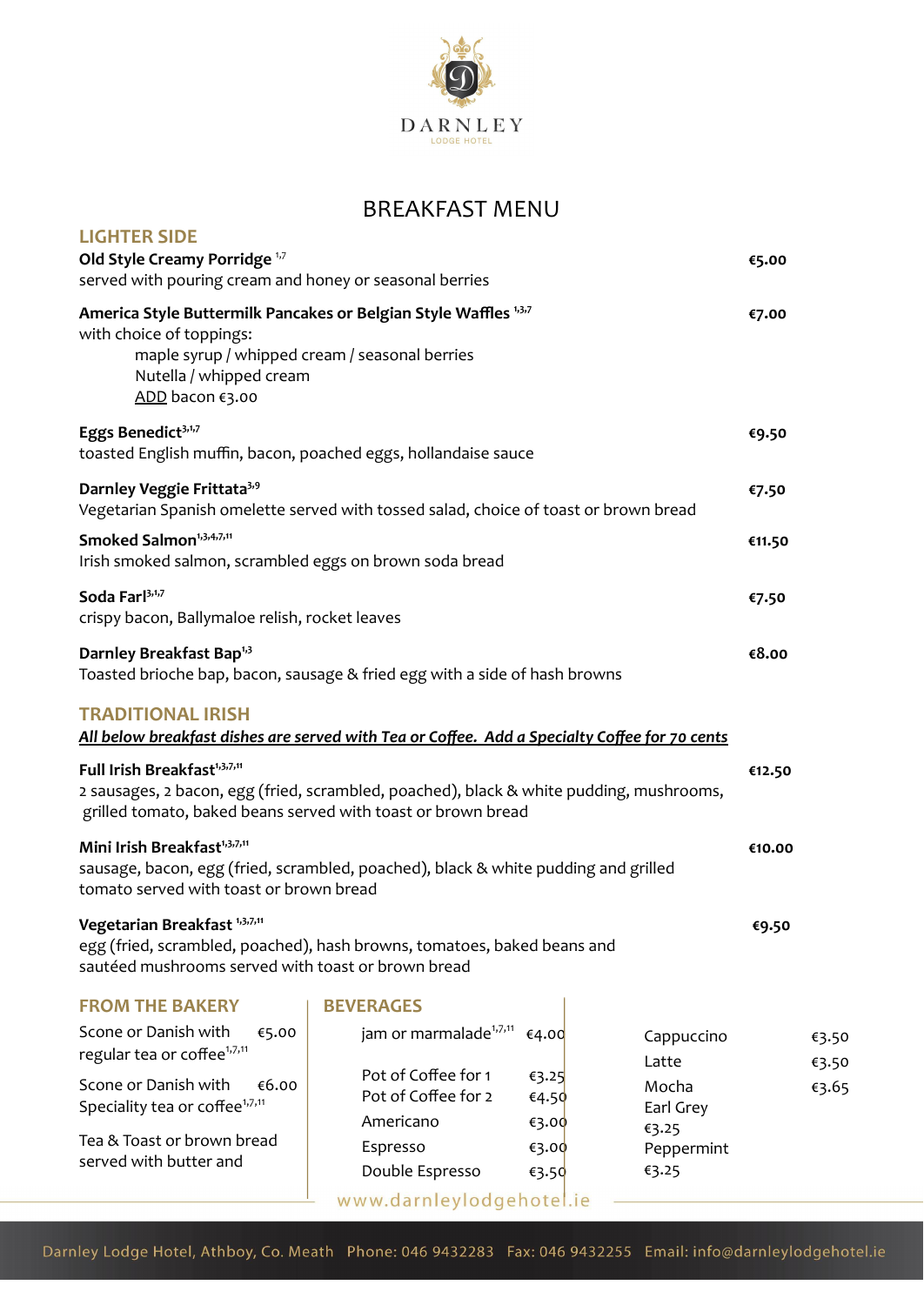

## BREAKFAST MENU

| <b>LIGHTER SIDE</b><br>Old Style Creamy Porridge <sup>1,7</sup><br>served with pouring cream and honey or seasonal berries                                                                                                                                                                                                       |                                                         |                         |                              | €5.00  |                |
|----------------------------------------------------------------------------------------------------------------------------------------------------------------------------------------------------------------------------------------------------------------------------------------------------------------------------------|---------------------------------------------------------|-------------------------|------------------------------|--------|----------------|
| America Style Buttermilk Pancakes or Belgian Style Waffles 1,3,7<br>with choice of toppings:<br>maple syrup / whipped cream / seasonal berries<br>Nutella / whipped cream<br>ADD bacon €3.00                                                                                                                                     |                                                         |                         |                              | €7.00  |                |
| Eggs Benedict <sup>3,1,7</sup><br>toasted English muffin, bacon, poached eggs, hollandaise sauce                                                                                                                                                                                                                                 |                                                         |                         |                              | €9.50  |                |
| Darnley Veggie Frittata <sup>3,9</sup><br>Vegetarian Spanish omelette served with tossed salad, choice of toast or brown bread                                                                                                                                                                                                   |                                                         |                         |                              | €7.50  |                |
| Smoked Salmon <sup>1,3,4,7,11</sup><br>Irish smoked salmon, scrambled eggs on brown soda bread                                                                                                                                                                                                                                   |                                                         |                         | €11.50                       |        |                |
| Soda Farl <sup>3,1,7</sup><br>crispy bacon, Ballymaloe relish, rocket leaves                                                                                                                                                                                                                                                     |                                                         |                         |                              | €7.50  |                |
| Darnley Breakfast Bap <sup>1,3</sup><br>Toasted brioche bap, bacon, sausage & fried egg with a side of hash browns                                                                                                                                                                                                               |                                                         |                         | €8.00                        |        |                |
| <b>TRADITIONAL IRISH</b><br>All below breakfast dishes are served with Tea or Coffee. Add a Specialty Coffee for 70 cents<br>Full Irish Breakfast <sup>1,3,7,11</sup><br>2 sausages, 2 bacon, egg (fried, scrambled, poached), black & white pudding, mushrooms,<br>grilled tomato, baked beans served with toast or brown bread |                                                         |                         |                              | €12.50 |                |
| Mini Irish Breakfast <sup>1,3,7,11</sup><br>sausage, bacon, egg (fried, scrambled, poached), black & white pudding and grilled<br>tomato served with toast or brown bread                                                                                                                                                        |                                                         |                         |                              | €10.00 |                |
| Vegetarian Breakfast <sup>1,3,7,11</sup><br>egg (fried, scrambled, poached), hash browns, tomatoes, baked beans and<br>sautéed mushrooms served with toast or brown bread                                                                                                                                                        |                                                         |                         |                              | €9.50  |                |
| <b>FROM THE BAKERY</b>                                                                                                                                                                                                                                                                                                           | <b>BEVERAGES</b>                                        |                         |                              |        |                |
| Scone or Danish with<br>€5.00<br>regular tea or coffee <sup>1,7,11</sup>                                                                                                                                                                                                                                                         | jam or marmalade <sup>1,7,11</sup>                      | €4.00                   | Cappuccino<br>Latte          |        | €3.50<br>€3.50 |
| Scone or Danish with<br>€6.00<br>Speciality tea or coffee <sup>1,7,11</sup>                                                                                                                                                                                                                                                      | Pot of Coffee for 1<br>Pot of Coffee for 2<br>Americano | €3.25<br>€4.50          | Mocha<br>Earl Grey           |        | €3.65          |
| Tea & Toast or brown bread<br>served with butter and                                                                                                                                                                                                                                                                             | Espresso<br>Double Espresso                             | €3.00<br>€3.00<br>€3.50 | €3.25<br>Peppermint<br>€3.25 |        |                |
|                                                                                                                                                                                                                                                                                                                                  | www.darnleylodgehotel.ie                                |                         |                              |        |                |